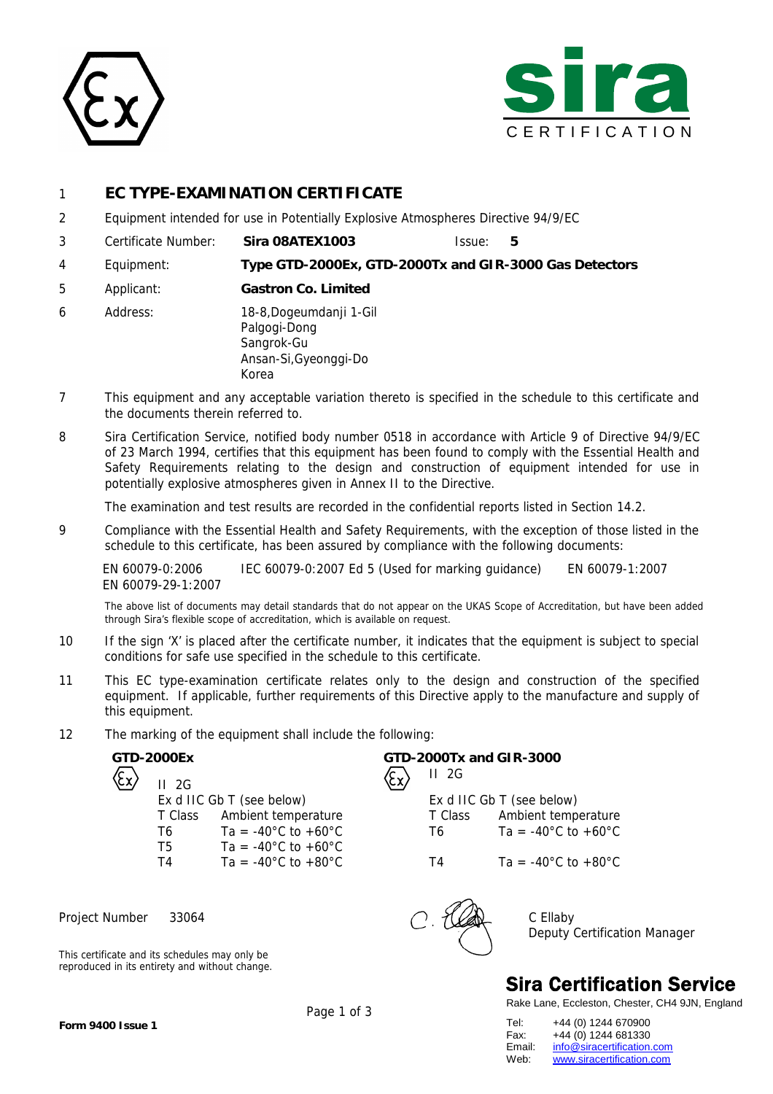



### 1 **EC TYPE-EXAMINATION CERTIFICATE**

- 2 Equipment intended for use in Potentially Explosive Atmospheres Directive 94/9/EC
- 3 Certificate Number: **Sira 08ATEX1003** Issue: **5**
- 4 Equipment: **Type GTD-2000Ex, GTD-2000Tx and GIR-3000 Gas Detectors**
- 5 Applicant: **Gastron Co. Limited**
- 6 Address: 18-8,Dogeumdanji 1-Gil Palgogi-Dong Sangrok-Gu Ansan-Si,Gyeonggi-Do Korea
- 7 This equipment and any acceptable variation thereto is specified in the schedule to this certificate and the documents therein referred to.
- 8 Sira Certification Service, notified body number 0518 in accordance with Article 9 of Directive 94/9/EC of 23 March 1994, certifies that this equipment has been found to comply with the Essential Health and Safety Requirements relating to the design and construction of equipment intended for use in potentially explosive atmospheres given in Annex II to the Directive.

The examination and test results are recorded in the confidential reports listed in Section 14.2.

9 Compliance with the Essential Health and Safety Requirements, with the exception of those listed in the schedule to this certificate, has been assured by compliance with the following documents:

EN 60079-0:2006 IEC 60079-0:2007 Ed 5 (Used for marking guidance) EN 60079-1:2007 EN 60079-29-1:2007

The above list of documents may detail standards that do not appear on the UKAS Scope of Accreditation, but have been added through Sira's flexible scope of accreditation, which is available on request.

- 10 If the sign 'X' is placed after the certificate number, it indicates that the equipment is subject to special conditions for safe use specified in the schedule to this certificate.
- 11 This EC type-examination certificate relates only to the design and construction of the specified equipment. If applicable, further requirements of this Directive apply to the manufacture and supply of this equipment.
- 12 The marking of the equipment shall include the following:

II 2G Ex d IIC Gb T (see below) Ex d IIC Gb T (see below) T5  $Ta = -40^{\circ}C$  to  $+60^{\circ}C$ T4 Ta = -40°C to +80°C T4 Ta = -40°C to +80°C

Project Number 33064 C Ellaby

This certificate and its schedules may only be reproduced in its entirety and without change.

**GTD-2000Ex GTD-2000Tx and GIR-3000** II 2G

> T Class Ambient temperature T Class Ambient temperature T6 Ta = -40°C to +60°C T6 Ta = -40°C to +60°C



Deputy Certification Manager

# **Sira Certification Service**

Rake Lane, Eccleston, Chester, CH4 9JN, England

| Tel:   | +44 (0) 1244 670900        |
|--------|----------------------------|
| Fax:   | +44 (0) 1244 681330        |
| Email: | info@siracertification.com |
| Web:   | www.siracertification.com  |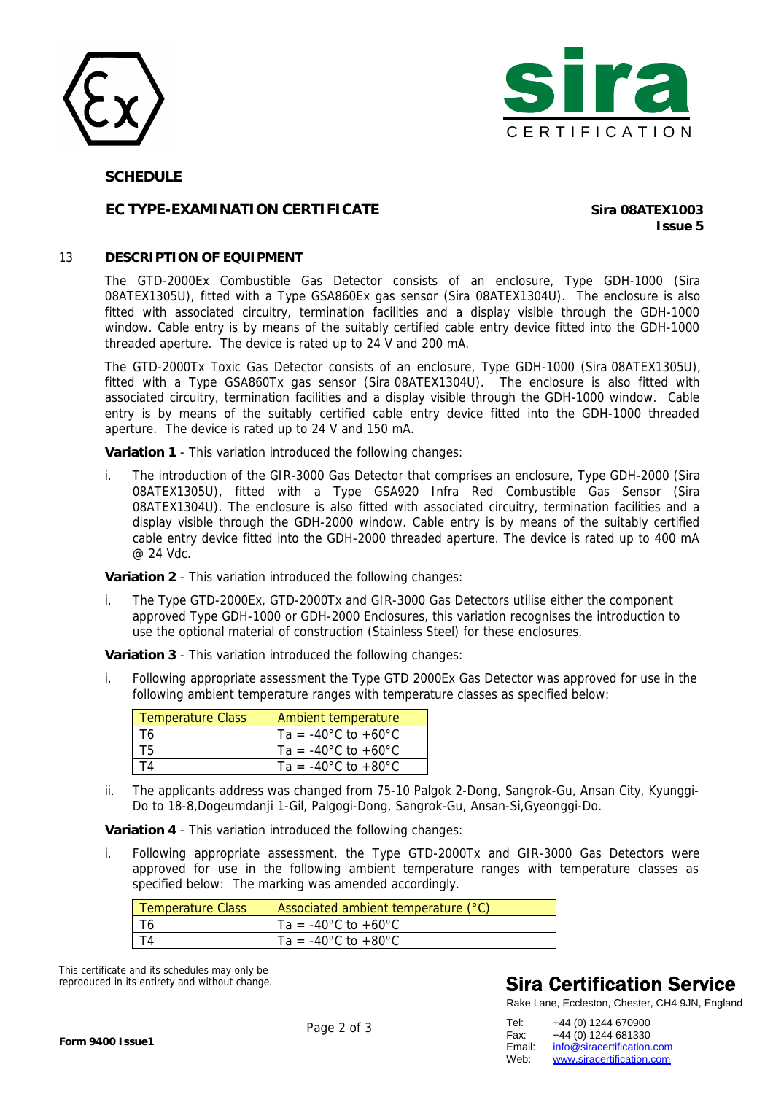



#### **SCHEDULE**

### **EC TYPE-EXAMINATION CERTIFICATE Sira 08ATEX1003**

**Issue 5**

#### 13 **DESCRIPTION OF EQUIPMENT**

The GTD-2000Ex Combustible Gas Detector consists of an enclosure, Type GDH-1000 (Sira 08ATEX1305U), fitted with a Type GSA860Ex gas sensor (Sira 08ATEX1304U). The enclosure is also fitted with associated circuitry, termination facilities and a display visible through the GDH-1000 window. Cable entry is by means of the suitably certified cable entry device fitted into the GDH-1000 threaded aperture. The device is rated up to 24 V and 200 mA.

The GTD-2000Tx Toxic Gas Detector consists of an enclosure, Type GDH-1000 (Sira 08ATEX1305U), fitted with a Type GSA860Tx gas sensor (Sira 08ATEX1304U). The enclosure is also fitted with associated circuitry, termination facilities and a display visible through the GDH-1000 window. Cable entry is by means of the suitably certified cable entry device fitted into the GDH-1000 threaded aperture. The device is rated up to 24 V and 150 mA.

**Variation 1** - This variation introduced the following changes:

i. The introduction of the GIR-3000 Gas Detector that comprises an enclosure, Type GDH-2000 (Sira 08ATEX1305U), fitted with a Type GSA920 Infra Red Combustible Gas Sensor (Sira 08ATEX1304U). The enclosure is also fitted with associated circuitry, termination facilities and a display visible through the GDH-2000 window. Cable entry is by means of the suitably certified cable entry device fitted into the GDH-2000 threaded aperture. The device is rated up to 400 mA @ 24 Vdc.

**Variation 2** - This variation introduced the following changes:

i. The Type GTD-2000Ex, GTD-2000Tx and GIR-3000 Gas Detectors utilise either the component approved Type GDH-1000 or GDH-2000 Enclosures, this variation recognises the introduction to use the optional material of construction (Stainless Steel) for these enclosures.

**Variation 3** - This variation introduced the following changes:

i. Following appropriate assessment the Type GTD 2000Ex Gas Detector was approved for use in the following ambient temperature ranges with temperature classes as specified below:

| <b>Temperature Class</b> | <b>Ambient temperature</b>              |
|--------------------------|-----------------------------------------|
| T6                       | Ta = $-40^{\circ}$ C to $+60^{\circ}$ C |
| T5.                      | Ta = $-40^{\circ}$ C to $+60^{\circ}$ C |
| TΔ                       | Ta = $-40^{\circ}$ C to $+80^{\circ}$ C |

ii. The applicants address was changed from 75-10 Palgok 2-Dong, Sangrok-Gu, Ansan City, Kyunggi-Do to 18-8,Dogeumdanji 1-Gil, Palgogi-Dong, Sangrok-Gu, Ansan-Si,Gyeonggi-Do.

**Variation 4** - This variation introduced the following changes:

i. Following appropriate assessment, the Type GTD-2000Tx and GIR-3000 Gas Detectors were approved for use in the following ambient temperature ranges with temperature classes as specified below: The marking was amended accordingly.

| Temperature Class | Associated ambient temperature (°C)     |
|-------------------|-----------------------------------------|
|                   | Ta = $-40^{\circ}$ C to $+60^{\circ}$ C |
|                   | Ta = $-40^{\circ}$ C to $+80^{\circ}$ C |

This certificate and its schedules may only be reproduced in its entirety and without change.

# **Sira Certification Service**

Rake Lane, Eccleston, Chester, CH4 9JN, England

| +44 (0) 1244 670900        |
|----------------------------|
| +44 (0) 1244 681330        |
| info@siracertification.com |
| www.siracertification.com  |
|                            |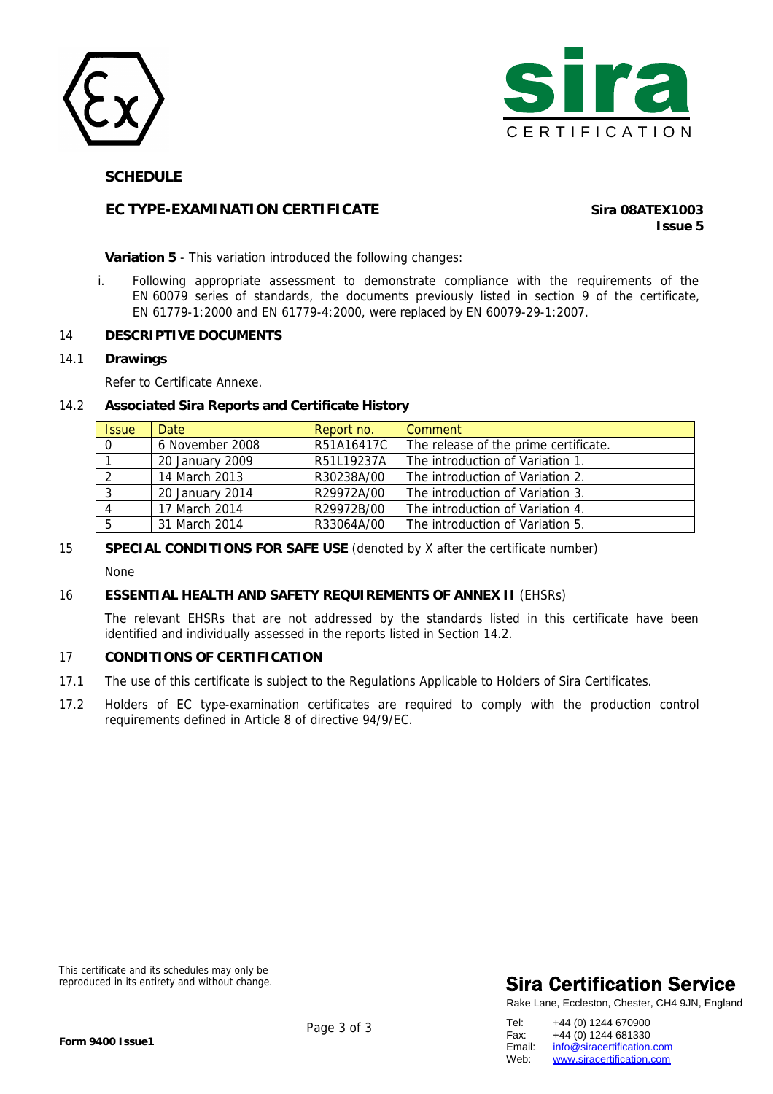



#### **SCHEDULE**

### **EC TYPE-EXAMINATION CERTIFICATE** *Sira 08ATEX1003*

**Issue 5**

**Variation 5** - This variation introduced the following changes:

i. Following appropriate assessment to demonstrate compliance with the requirements of the EN 60079 series of standards, the documents previously listed in section 9 of the certificate, EN 61779-1:2000 and EN 61779-4:2000, were replaced by EN 60079-29-1:2007.

#### 14 **DESCRIPTIVE DOCUMENTS**

14.1 **Drawings** 

Refer to Certificate Annexe.

#### 14.2 **Associated Sira Reports and Certificate History**

| <b>Issue</b> | Date            | Report no. | Comment                               |
|--------------|-----------------|------------|---------------------------------------|
| $\Omega$     | 6 November 2008 | R51A16417C | The release of the prime certificate. |
|              | 20 January 2009 | R51L19237A | The introduction of Variation 1.      |
|              | 14 March 2013   | R30238A/00 | The introduction of Variation 2.      |
|              | 20 January 2014 | R29972A/00 | The introduction of Variation 3.      |
|              | 17 March 2014   | R29972B/00 | The introduction of Variation 4.      |
| 5            | 31 March 2014   | R33064A/00 | The introduction of Variation 5.      |

### 15 **SPECIAL CONDITIONS FOR SAFE USE** (denoted by X after the certificate number)

None

#### 16 **ESSENTIAL HEALTH AND SAFETY REQUIREMENTS OF ANNEX II** (EHSRs)

The relevant EHSRs that are not addressed by the standards listed in this certificate have been identified and individually assessed in the reports listed in Section 14.2.

#### 17 **CONDITIONS OF CERTIFICATION**

- 17.1 The use of this certificate is subject to the Regulations Applicable to Holders of Sira Certificates.
- 17.2 Holders of EC type-examination certificates are required to comply with the production control requirements defined in Article 8 of directive 94/9/EC.

This certificate and its schedules may only be reproduced in its entirety and without change.

# **Sira Certification Service**

Rake Lane, Eccleston, Chester, CH4 9JN, England